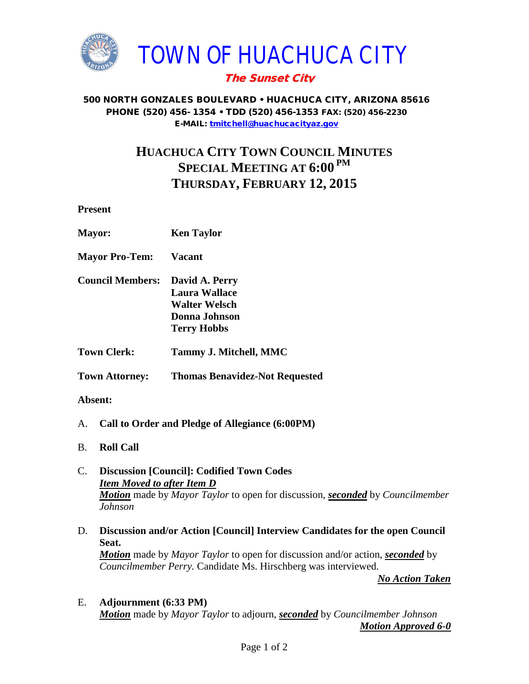

## The Sunset City

#### 500 NORTH GONZALES BOULEVARD • HUACHUCA CITY, ARIZONA 85616 PHONE (520) 456- 1354 • TDD (520) 456-1353 FAX: (520) 456-2230 E-MAIL: [tmitchell@huachucacityaz.gov](mailto:tmitchell@huachucacityaz.gov)

# **HUACHUCA CITY TOWN COUNCIL MINUTES SPECIAL MEETING AT 6:00 PM THURSDAY, FEBRUARY 12, 2015**

**Present**

| <b>Mayor:</b>           | <b>Ken Taylor</b>                                                                              |
|-------------------------|------------------------------------------------------------------------------------------------|
| <b>Mayor Pro-Tem:</b>   | <b>Vacant</b>                                                                                  |
| <b>Council Members:</b> | David A. Perry<br>Laura Wallace<br><b>Walter Welsch</b><br>Donna Johnson<br><b>Terry Hobbs</b> |
| <b>Town Clerk:</b>      | Tammy J. Mitchell, MMC                                                                         |
| <b>Town Attorney:</b>   | <b>Thomas Benavidez-Not Requested</b>                                                          |

#### **Absent:**

- A. **Call to Order and Pledge of Allegiance (6:00PM)**
- B. **Roll Call**

#### C. **Discussion [Council]: Codified Town Codes** *Item Moved to after Item D Motion* made by *Mayor Taylor* to open for discussion, *seconded* by *Councilmember Johnson*

D. **Discussion and/or Action [Council] Interview Candidates for the open Council Seat.**

*Motion* made by *Mayor Taylor* to open for discussion and/or action, *seconded* by *Councilmember Perry.* Candidate Ms. Hirschberg was interviewed.

*No Action Taken*

### E. **Adjournment (6:33 PM)** *Motion* made by *Mayor Taylor* to adjourn, *seconded* by *Councilmember Johnson Motion Approved 6-0*